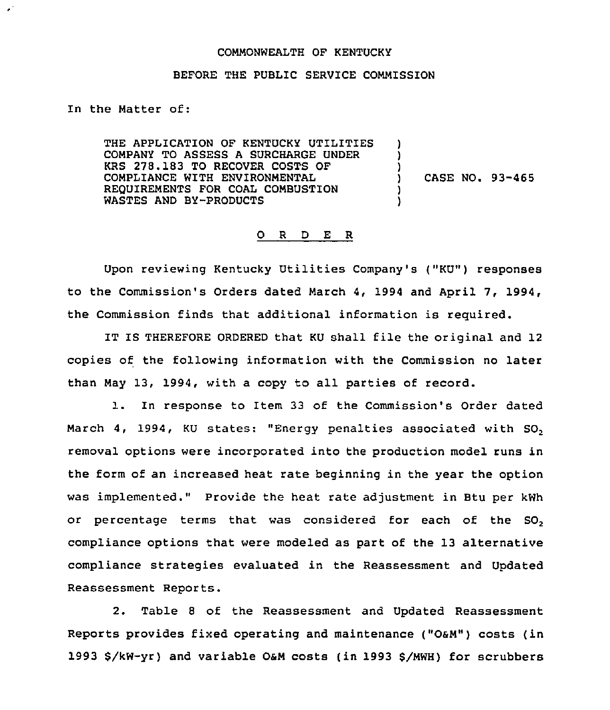## COMMONWEALTH OF KENTUCKY

## BEFORE THE PUBLIC SERVICE COMMISSION

In the Matter of:

THE APPLICATION OF KENTUCKY UTILITIES COMPANY TO ASSESS A SURCHARGE UNDER KRS 278.183 TO RECOVER COSTS OF COMPLIANCE WITH ENVIRONMENTAL REQUIREMENTS FOR COAL COMBUSTION WASTES AND BY-PRODUCTS

) CASE NO. 93-465

) ) )

> ) )

## 0 <sup>R</sup> <sup>D</sup> E R

Upon reviewing Kentucky Utilities Company's ("KU") responses to the Commission's Orders dated March 4, 1994 and April 7, 1994, the Commission finds that additional information is required.

IT IS THEREFORE ORDERED that KU shall file the original and 12 copies of the following information with the Commission no later than May 13, 1994, with a copy to all parties of record.

l. In response to Item <sup>33</sup> of the Commission's Order dated March 4, 1994, KU states: "Energy penalties associated with SO, removal options were incorporated into the production model runs in the form of an increased heat rate beginning in the year the option was implemented." Provide the heat rate adjustment in Btu per kWh or percentage terms that was considered for each of the  $SO<sub>2</sub>$ compliance options that were modeled as part of the 13 alternative compliance strategies evaluated in the Reassessment and Updated Reassessment Reports.

2. Table <sup>8</sup> of the Reassessment and Updated Reassessment Reports provides fixed operating and maintenance ("OSM") costs (in 1993 8/kw-yr) and variable OaM costs (in 1993 8/MwH) for scrubbers